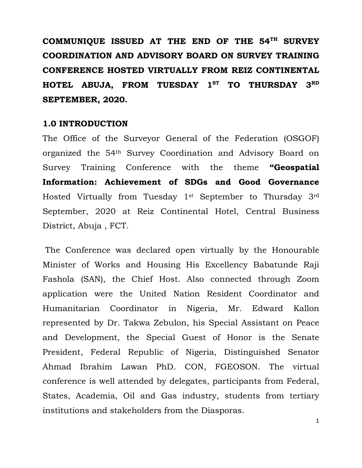**COMMUNIQUE ISSUED AT THE END OF THE 54TH SURVEY COORDINATION AND ADVISORY BOARD ON SURVEY TRAINING CONFERENCE HOSTED VIRTUALLY FROM REIZ CONTINENTAL HOTEL ABUJA, FROM TUESDAY 1ST TO THURSDAY 3RD SEPTEMBER, 2020.** 

#### **1.0 INTRODUCTION**

The Office of the Surveyor General of the Federation (OSGOF) organized the 54th Survey Coordination and Advisory Board on Survey Training Conference with the theme **"Geospatial Information: Achievement of SDGs and Good Governance**  Hosted Virtually from Tuesday 1st September to Thursday 3rd September, 2020 at Reiz Continental Hotel, Central Business District, Abuja , FCT.

 The Conference was declared open virtually by the Honourable Minister of Works and Housing His Excellency Babatunde Raji Fashola (SAN), the Chief Host. Also connected through Zoom application were the United Nation Resident Coordinator and Humanitarian Coordinator in Nigeria, Mr. Edward Kallon represented by Dr. Takwa Zebulon, his Special Assistant on Peace and Development, the Special Guest of Honor is the Senate President, Federal Republic of Nigeria, Distinguished Senator Ahmad Ibrahim Lawan PhD. CON, FGEOSON. The virtual conference is well attended by delegates, participants from Federal, States, Academia, Oil and Gas industry, students from tertiary institutions and stakeholders from the Diasporas.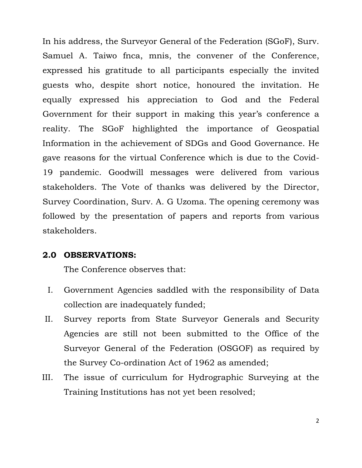In his address, the Surveyor General of the Federation (SGoF), Surv. Samuel A. Taiwo fnca, mnis, the convener of the Conference, expressed his gratitude to all participants especially the invited guests who, despite short notice, honoured the invitation. He equally expressed his appreciation to God and the Federal Government for their support in making this year's conference a reality. The SGoF highlighted the importance of Geospatial Information in the achievement of SDGs and Good Governance. He gave reasons for the virtual Conference which is due to the Covid-19 pandemic. Goodwill messages were delivered from various stakeholders. The Vote of thanks was delivered by the Director, Survey Coordination, Surv. A. G Uzoma. The opening ceremony was followed by the presentation of papers and reports from various stakeholders.

### **2.0 OBSERVATIONS:**

The Conference observes that:

- I. Government Agencies saddled with the responsibility of Data collection are inadequately funded;
- II. Survey reports from State Surveyor Generals and Security Agencies are still not been submitted to the Office of the Surveyor General of the Federation (OSGOF) as required by the Survey Co-ordination Act of 1962 as amended;
- III. The issue of curriculum for Hydrographic Surveying at the Training Institutions has not yet been resolved;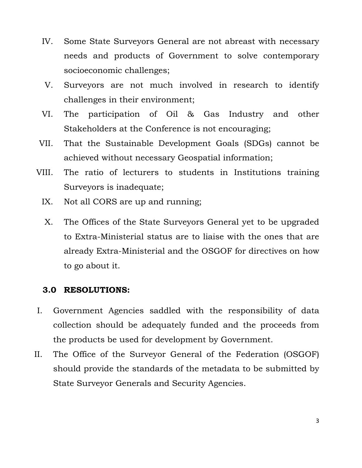- IV. Some State Surveyors General are not abreast with necessary needs and products of Government to solve contemporary socioeconomic challenges;
- V. Surveyors are not much involved in research to identify challenges in their environment;
- VI. The participation of Oil & Gas Industry and other Stakeholders at the Conference is not encouraging;
- VII. That the Sustainable Development Goals (SDGs) cannot be achieved without necessary Geospatial information;
- VIII. The ratio of lecturers to students in Institutions training Surveyors is inadequate;
	- IX. Not all CORS are up and running;
	- X. The Offices of the State Surveyors General yet to be upgraded to Extra-Ministerial status are to liaise with the ones that are already Extra-Ministerial and the OSGOF for directives on how to go about it.

## **3.0 RESOLUTIONS:**

- I. Government Agencies saddled with the responsibility of data collection should be adequately funded and the proceeds from the products be used for development by Government.
- II. The Office of the Surveyor General of the Federation (OSGOF) should provide the standards of the metadata to be submitted by State Surveyor Generals and Security Agencies.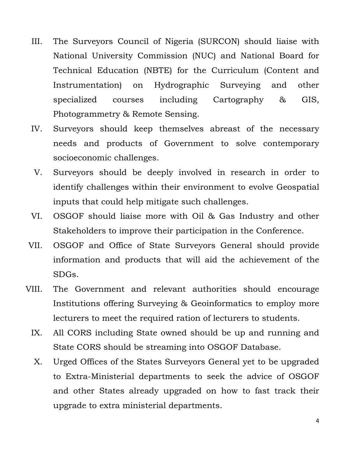- III. The Surveyors Council of Nigeria (SURCON) should liaise with National University Commission (NUC) and National Board for Technical Education (NBTE) for the Curriculum (Content and Instrumentation) on Hydrographic Surveying and other specialized courses including Cartography & GIS, Photogrammetry & Remote Sensing.
- IV. Surveyors should keep themselves abreast of the necessary needs and products of Government to solve contemporary socioeconomic challenges.
- V. Surveyors should be deeply involved in research in order to identify challenges within their environment to evolve Geospatial inputs that could help mitigate such challenges.
- VI. OSGOF should liaise more with Oil & Gas Industry and other Stakeholders to improve their participation in the Conference.
- VII. OSGOF and Office of State Surveyors General should provide information and products that will aid the achievement of the SDGs.
- VIII. The Government and relevant authorities should encourage Institutions offering Surveying & Geoinformatics to employ more lecturers to meet the required ration of lecturers to students.
	- IX. All CORS including State owned should be up and running and State CORS should be streaming into OSGOF Database.
	- X. Urged Offices of the States Surveyors General yet to be upgraded to Extra-Ministerial departments to seek the advice of OSGOF and other States already upgraded on how to fast track their upgrade to extra ministerial departments.